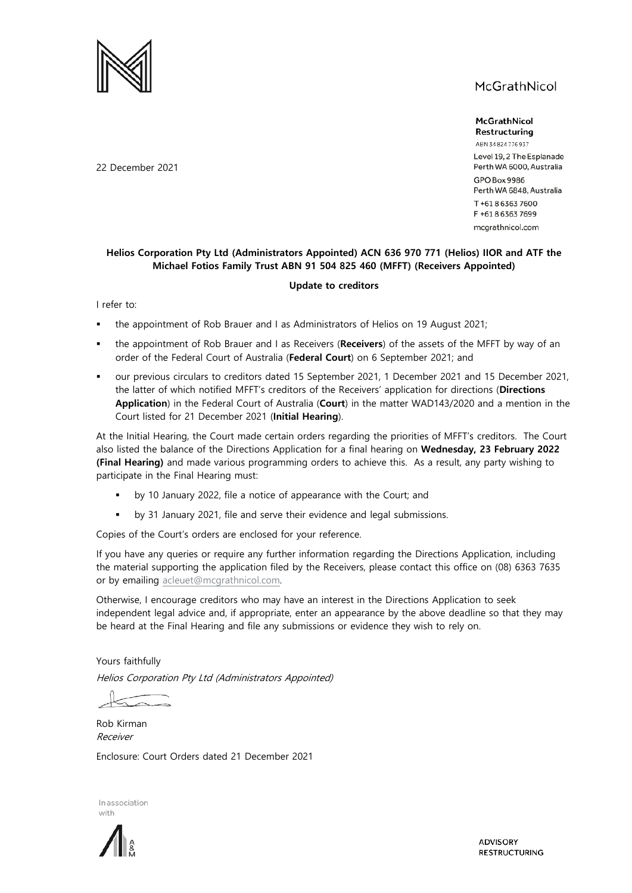

McGrathNicol Restructuring

ABN 34824776937 Level 19, 2 The Esplanade Perth WA 6000, Australia **GPO Box 9986** Perth WA 6848, Australia T+61863637600 F +61863637699 mcgrathnicol.com

#### **Helios Corporation Pty Ltd (Administrators Appointed) ACN 636 970 771 (Helios) IIOR and ATF the Michael Fotios Family Trust ABN 91 504 825 460 (MFFT) (Receivers Appointed)**

#### **Update to creditors**

I refer to:

- the appointment of Rob Brauer and I as Administrators of Helios on 19 August 2021;
- the appointment of Rob Brauer and I as Receivers (**Receivers**) of the assets of the MFFT by way of an order of the Federal Court of Australia (**Federal Court**) on 6 September 2021; and
- our previous circulars to creditors dated 15 September 2021, 1 December 2021 and 15 December 2021, the latter of which notified MFFT's creditors of the Receivers' application for directions (**Directions Application**) in the Federal Court of Australia (**Court**) in the matter WAD143/2020 and a mention in the Court listed for 21 December 2021 (**Initial Hearing**).

At the Initial Hearing, the Court made certain orders regarding the priorities of MFFT's creditors. The Court also listed the balance of the Directions Application for a final hearing on **Wednesday, 23 February 2022 (Final Hearing)** and made various programming orders to achieve this. As a result, any party wishing to participate in the Final Hearing must:

- by 10 January 2022, file a notice of appearance with the Court; and
- by 31 January 2021, file and serve their evidence and legal submissions.

Copies of the Court's orders are enclosed for your reference.

If you have any queries or require any further information regarding the Directions Application, including the material supporting the application filed by the Receivers, please contact this office on (08) 6363 7635 or by emailing [acleuet@mcgrathnicol.com.](mailto:acleuet@mcgrathnicol.com) 

Otherwise, I encourage creditors who may have an interest in the Directions Application to seek independent legal advice and, if appropriate, enter an appearance by the above deadline so that they may be heard at the Final Hearing and file any submissions or evidence they wish to rely on.

Yours faithfully

Helios Corporation Pty Ltd (Administrators Appointed)

Rob Kirman Receiver

Enclosure: Court Orders dated 21 December 2021





**ADVISORY RESTRUCTURING** 

22 December 2021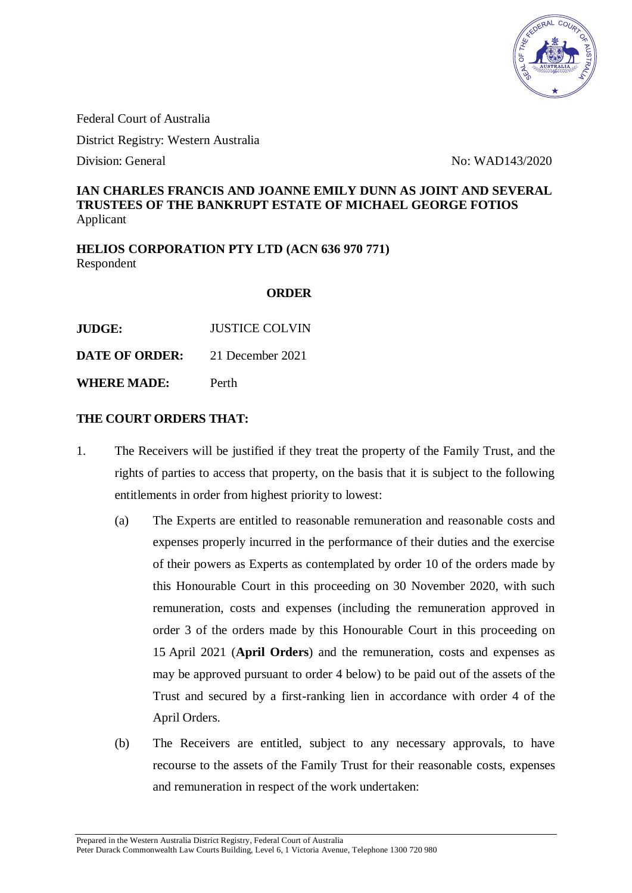

Federal Court of Australia

District Registry: Western Australia

Division: General No: WAD143/2020

# **IAN CHARLES FRANCIS AND JOANNE EMILY DUNN AS JOINT AND SEVERAL TRUSTEES OF THE BANKRUPT ESTATE OF MICHAEL GEORGE FOTIOS** Applicant

**HELIOS CORPORATION PTY LTD (ACN 636 970 771)** Respondent

#### **ORDER**

**JUDGE:** JUSTICE COLVIN

**DATE OF ORDER:** 21 December 2021

**WHERE MADE:** Perth

# **THE COURT ORDERS THAT:**

- 1. The Receivers will be justified if they treat the property of the Family Trust, and the rights of parties to access that property, on the basis that it is subject to the following entitlements in order from highest priority to lowest:
	- (a) The Experts are entitled to reasonable remuneration and reasonable costs and expenses properly incurred in the performance of their duties and the exercise of their powers as Experts as contemplated by order 10 of the orders made by this Honourable Court in this proceeding on 30 November 2020, with such remuneration, costs and expenses (including the remuneration approved in order 3 of the orders made by this Honourable Court in this proceeding on 15 April 2021 (**April Orders**) and the remuneration, costs and expenses as may be approved pursuant to order 4 below) to be paid out of the assets of the Trust and secured by a first-ranking lien in accordance with order 4 of the April Orders.
	- (b) The Receivers are entitled, subject to any necessary approvals, to have recourse to the assets of the Family Trust for their reasonable costs, expenses and remuneration in respect of the work undertaken: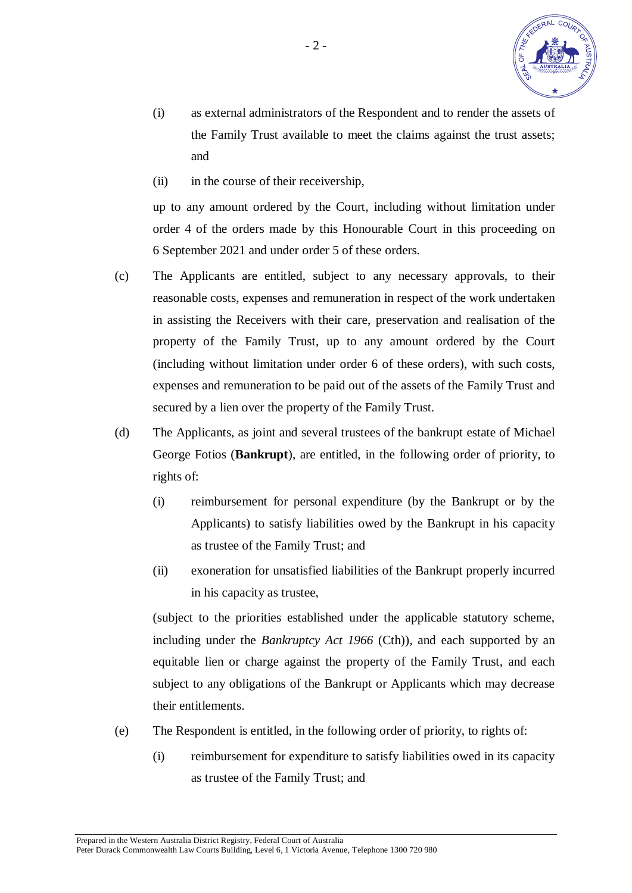

- (i) as external administrators of the Respondent and to render the assets of the Family Trust available to meet the claims against the trust assets; and
- (ii) in the course of their receivership,

up to any amount ordered by the Court, including without limitation under order 4 of the orders made by this Honourable Court in this proceeding on 6 September 2021 and under order 5 of these orders.

- (c) The Applicants are entitled, subject to any necessary approvals, to their reasonable costs, expenses and remuneration in respect of the work undertaken in assisting the Receivers with their care, preservation and realisation of the property of the Family Trust, up to any amount ordered by the Court (including without limitation under order 6 of these orders), with such costs, expenses and remuneration to be paid out of the assets of the Family Trust and secured by a lien over the property of the Family Trust.
- (d) The Applicants, as joint and several trustees of the bankrupt estate of Michael George Fotios (**Bankrupt**), are entitled, in the following order of priority, to rights of:
	- (i) reimbursement for personal expenditure (by the Bankrupt or by the Applicants) to satisfy liabilities owed by the Bankrupt in his capacity as trustee of the Family Trust; and
	- (ii) exoneration for unsatisfied liabilities of the Bankrupt properly incurred in his capacity as trustee,

(subject to the priorities established under the applicable statutory scheme, including under the *Bankruptcy Act 1966* (Cth)), and each supported by an equitable lien or charge against the property of the Family Trust, and each subject to any obligations of the Bankrupt or Applicants which may decrease their entitlements.

- (e) The Respondent is entitled, in the following order of priority, to rights of:
	- (i) reimbursement for expenditure to satisfy liabilities owed in its capacity as trustee of the Family Trust; and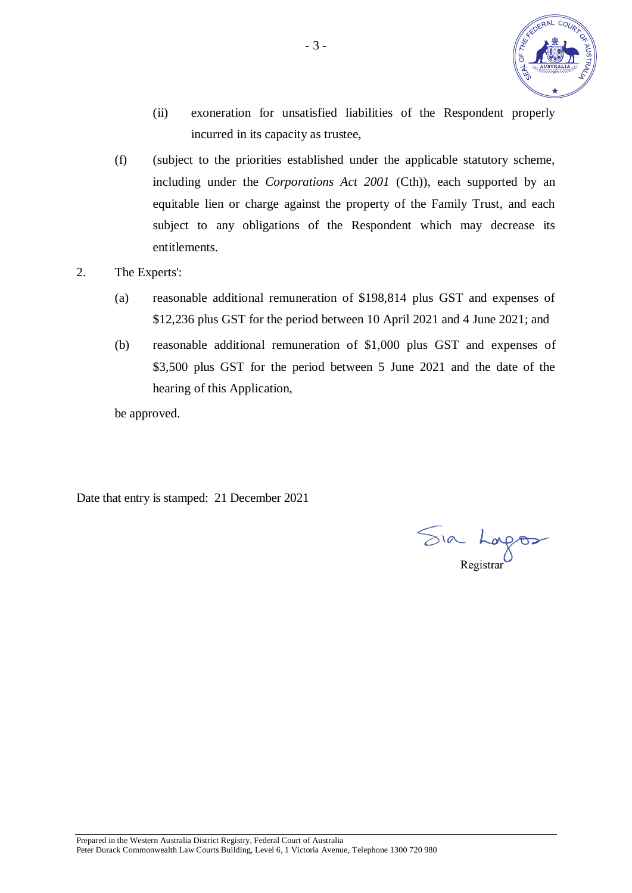

- (ii) exoneration for unsatisfied liabilities of the Respondent properly incurred in its capacity as trustee,
- (f) (subject to the priorities established under the applicable statutory scheme, including under the *Corporations Act 2001* (Cth)), each supported by an equitable lien or charge against the property of the Family Trust, and each subject to any obligations of the Respondent which may decrease its entitlements.
- 2. The Experts':
	- (a) reasonable additional remuneration of \$198,814 plus GST and expenses of \$12,236 plus GST for the period between 10 April 2021 and 4 June 2021; and
	- (b) reasonable additional remuneration of \$1,000 plus GST and expenses of \$3,500 plus GST for the period between 5 June 2021 and the date of the hearing of this Application,

be approved.

Date that entry is stamped: 21 December 2021

Sia Lagos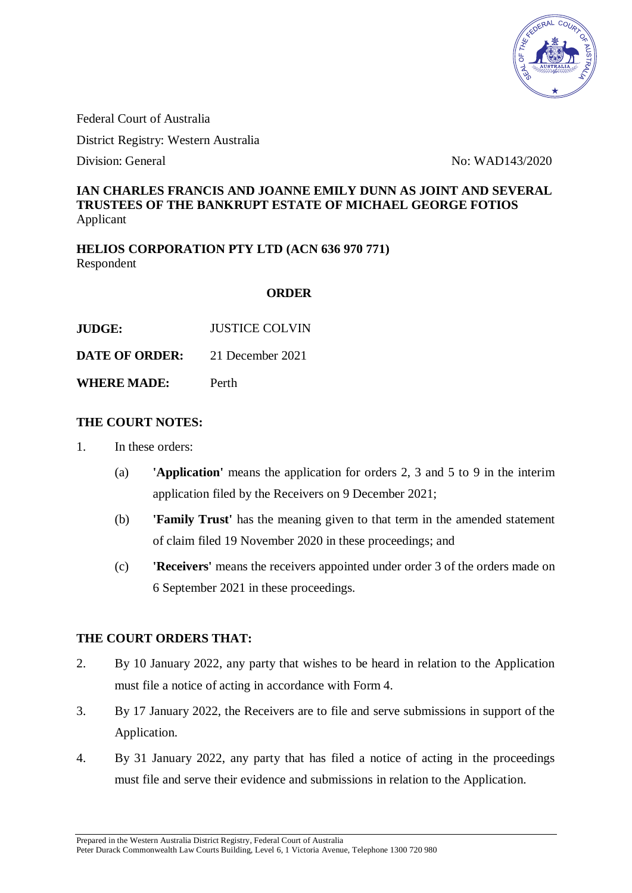

Federal Court of Australia

District Registry: Western Australia

Division: General No: WAD143/2020

# **IAN CHARLES FRANCIS AND JOANNE EMILY DUNN AS JOINT AND SEVERAL TRUSTEES OF THE BANKRUPT ESTATE OF MICHAEL GEORGE FOTIOS** Applicant

**HELIOS CORPORATION PTY LTD (ACN 636 970 771)** Respondent

#### **ORDER**

| <b>JUDGE:</b> | <b>JUSTICE COLVIN</b> |
|---------------|-----------------------|
|               |                       |

**DATE OF ORDER:** 21 December 2021

**WHERE MADE:** Perth

#### **THE COURT NOTES:**

- 1. In these orders:
	- (a) **'Application'** means the application for orders 2, 3 and 5 to 9 in the interim application filed by the Receivers on 9 December 2021;
	- (b) **'Family Trust'** has the meaning given to that term in the amended statement of claim filed 19 November 2020 in these proceedings; and
	- (c) **'Receivers'** means the receivers appointed under order 3 of the orders made on 6 September 2021 in these proceedings.

# **THE COURT ORDERS THAT:**

- 2. By 10 January 2022, any party that wishes to be heard in relation to the Application must file a notice of acting in accordance with Form 4.
- 3. By 17 January 2022, the Receivers are to file and serve submissions in support of the Application.
- 4. By 31 January 2022, any party that has filed a notice of acting in the proceedings must file and serve their evidence and submissions in relation to the Application.